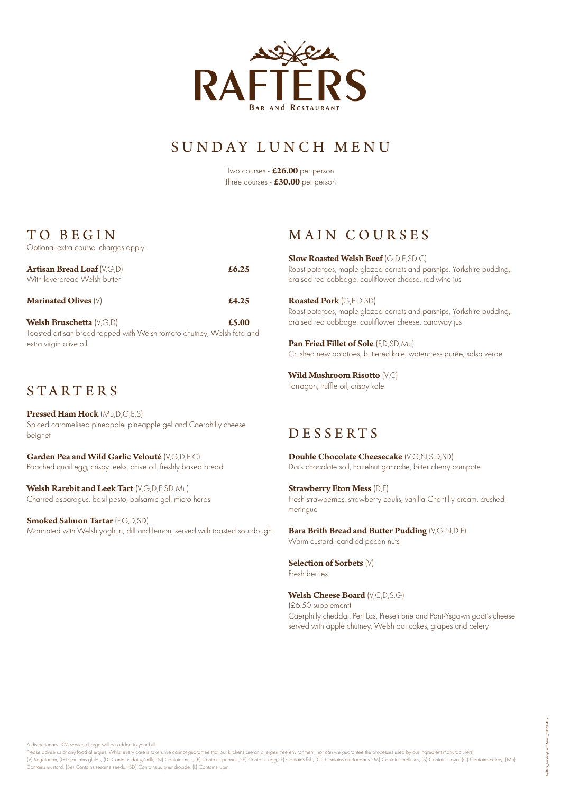

# SUNDAY LUNCH MENU

Two courses - £26.00 per person Three courses - £30.00 per person

## TO BEGIN

Optional extra course, charges apply

| <b>Artisan Bread Loaf</b> (V.G.D)<br>With laverbread Welsh butter | £6.25 |
|-------------------------------------------------------------------|-------|
| <b>Marinated Olives (V)</b>                                       | £4.25 |

Welsh Bruschetta (V,G,D) **E5.00** Toasted artisan bread topped with Welsh tomato chutney, Welsh feta and extra virgin olive oil

### STARTER S

Pressed Ham Hock (Mu,D,G,E,S) Spiced caramelised pineapple, pineapple gel and Caerphilly cheese beignet

Garden Pea and Wild Garlic Velouté (V,G,D,E,C) Poached quail egg, crispy leeks, chive oil, freshly baked bread

Welsh Rarebit and Leek Tart (V,G,D,E,SD,Mu) Charred asparagus, basil pesto, balsamic gel, micro herbs

Smoked Salmon Tartar (F,G,D,SD) Marinated with Welsh yoghurt, dill and lemon, served with toasted sourdough

#### MAIN COURSES

Slow Roasted Welsh Beef (G,D,E,SD,C) Roast potatoes, maple glazed carrots and parsnips, Yorkshire pudding, braised red cabbage, cauliflower cheese, red wine jus

Roasted Pork (G,E,D,SD) Roast potatoes, maple glazed carrots and parsnips, Yorkshire pudding, braised red cabbage, cauliflower cheese, caraway jus

Pan Fried Fillet of Sole (F,D,SD,Mu) Crushed new potatoes, buttered kale, watercress purée, salsa verde

Wild Mushroom Risotto (V,C) Tarragon, truffle oil, crispy kale

## D E S S E R T S

Double Chocolate Cheesecake (V,G,N,S,D,SD) Dark chocolate soil, hazelnut ganache, bitter cherry compote

Strawberry Eton Mess (D,E) Fresh strawberries, strawberry coulis, vanilla Chantilly cream, crushed meringue

Bara Brith Bread and Butter Pudding (V,G,N,D,E) Warm custard, candied pecan nuts

Selection of Sorbets (V) Fresh berries

Welsh Cheese Board (V,C,D,S,G) (£6.50 supplement) Caerphilly cheddar, Perl Las, Preseli brie and Pant-Ysgawn goat's cheese served with apple chutney, Welsh oat cakes, grapes and celery

A discretionary 10% service charge will be added to your bill.

Please advise us of any food allergies. Whilst every care is taken, we cannot guarantee that our kitchens are an allergen free environment, nor can we guarantee the processes used by our ingredient manufacturers. (V) Vegetarian, [G) Contains gluten, [D) Contains dairy/milk, [N) Contains nuts, [P) Contains peanuts, [E) Contains egg, [F) Contains fish, [Cr) Contains crustaceans, [M) Contains molluscs, [S) Contains soya, [C] Contains